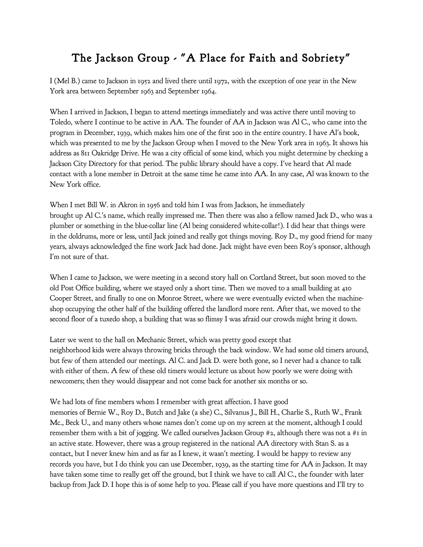## The Jackson Group - "A Place for Faith and Sobriety"

I (Mel B.) came to Jackson in 1952 and lived there until 1972, with the exception of one year in the New York area between September 1963 and September 1964.

When I arrived in Jackson, I began to attend meetings immediately and was active there until moving to Toledo, where I continue to be active in AA. The founder of AA in Jackson was Al C., who came into the program in December, 1939, which makes him one of the first 200 in the entire country. I have Al's book, which was presented to me by the Jackson Group when I moved to the New York area in 1963. It shows his address as 811 Oakridge Drive. He was a city official of some kind, which you might determine by checking a Jackson City Directory for that period. The public library should have a copy. I've heard that Al made contact with a lone member in Detroit at the same time he came into AA. In any case, Al was known to the New York office.

When I met Bill W. in Akron in 1956 and told him I was from Jackson, he immediately brought up Al C.'s name, which really impressed me. Then there was also a fellow named Jack D., who was a plumber or something in the blue-collar line (Al being considered white-collar!). I did hear that things were in the doldrums, more or less, until Jack joined and really got things moving. Roy D., my good friend for many years, always acknowledged the fine work Jack had done. Jack might have even been Roy's sponsor, although I'm not sure of that.

When I came to Jackson, we were meeting in a second story hall on Cortland Street, but soon moved to the old Post Office building, where we stayed only a short time. Then we moved to a small building at 410 Cooper Street, and finally to one on Monroe Street, where we were eventually evicted when the machineshop occupying the other half of the building offered the landlord more rent. After that, we moved to the second floor of a tuxedo shop, a building that was so flimsy I was afraid our crowds might bring it down.

Later we went to the hall on Mechanic Street, which was pretty good except that neighborhood kids were always throwing bricks through the back window. We had some old timers around, but few of them attended our meetings. Al C. and Jack D. were both gone, so I never had a chance to talk with either of them. A few of these old timers would lecture us about how poorly we were doing with newcomers; then they would disappear and not come back for another six months or so.

We had lots of fine members whom I remember with great affection. I have good memories of Bernie W., Roy D., Butch and Jake (a she) C., Silvanus J., Bill H., Charlie S., Ruth W., Frank Mc., Beck U., and many others whose names don't come up on my screen at the moment, although I could remember them with a bit of jogging. We called ourselves Jackson Group #2, although there was not a #1 in an active state. However, there was a group registered in the national AA directory with Stan S. as a contact, but I never knew him and as far as I knew, it wasn't meeting. I would be happy to review any records you have, but I do think you can use December, 1939, as the starting time for AA in Jackson. It may have taken some time to really get off the ground, but I think we have to call Al C., the founder with later backup from Jack D. I hope this is of some help to you. Please call if you have more questions and I'll try to